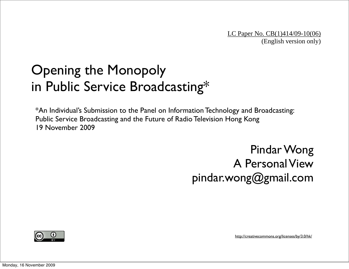#### Opening the Monopoly in Public Service Broadcasting\*

\*An Individual's Submission to the Panel on Information Technology and Broadcasting: Public Service Broadcasting and the Future of Radio Television Hong Kong 19 November 2009

> Pindar Wong A Personal View pindar.wong@gmail.com



<http://creativecommons.org/licenses/by/3.0/hk/>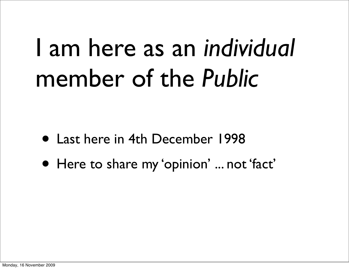### I am here as an *individual* member of the *Public*

- Last here in 4th December 1998
- Here to share my 'opinion' ... not 'fact'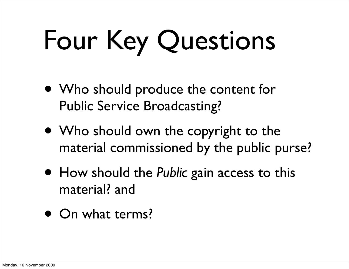# Four Key Questions

- Who should produce the content for Public Service Broadcasting?
- Who should own the copyright to the material commissioned by the public purse?
- How should the *Public* gain access to this material? and
- On what terms?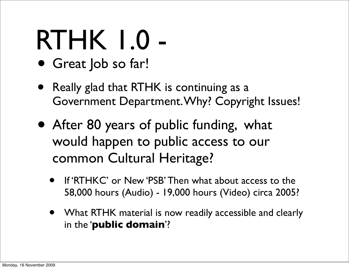## RTHK 1.0 -

- Great Job so far!
- Really glad that RTHK is continuing as a Government Department. Why? Copyright Issues!
- After 80 years of public funding, what would happen to public access to our common Cultural Heritage?
	- If 'RTHKC' or New 'PSB' Then what about access to the 58,000 hours (Audio) - 19,000 hours (Video) circa 2005?
	- What RTHK material is now readily accessible and clearly in the '**public domain**'?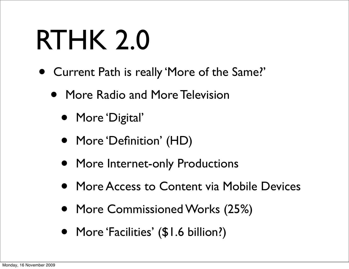## RTHK 2.0

- Current Path is really 'More of the Same?'
	- More Radio and More Television
		- More 'Digital'
		- More 'Definition' (HD)
		- More Internet-only Productions
		- More Access to Content via Mobile Devices
		- More Commissioned Works (25%)
		- More 'Facilities' (\$1.6 billion?)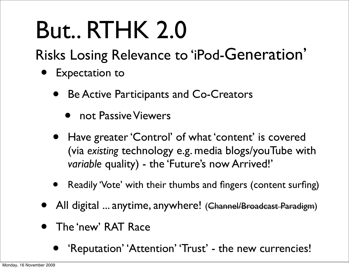### But.. RTHK 2.0

Risks Losing Relevance to 'iPod-Generation'

- Expectation to
	- Be Active Participants and Co-Creators
		- **•** not Passive Viewers
	- Have greater 'Control' of what 'content' is covered (via *existing* technology e.g. media blogs/youTube with *variable* quality) - the 'Future's now Arrived!'
	- Readily 'Vote' with their thumbs and fingers (content surfing)
- All digital ... anytime, anywhere! (Channel/Broadcast Paradigm)
- The 'new' RAT Race
	- 'Reputation' 'Attention' 'Trust' the new currencies!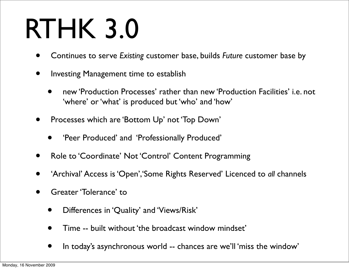## RTHK 3.0

- Continues to serve *Existing* customer base, builds *Future* customer base by
- Investing Management time to establish
	- new 'Production Processes' rather than new 'Production Facilities' i.e. not 'where' or 'what' is produced but 'who' and 'how'
- Processes which are 'Bottom Up' not 'Top Down'
	- 'Peer Produced' and 'Professionally Produced'
- Role to 'Coordinate' Not 'Control' Content Programming
- 'Archival' Access is 'Open','Some Rights Reserved' Licenced to *all* channels
- Greater 'Tolerance' to
	- Differences in 'Quality' and 'Views/Risk'
	- Time -- built without 'the broadcast window mindset'
	- In today's asynchronous world -- chances are we'll 'miss the window'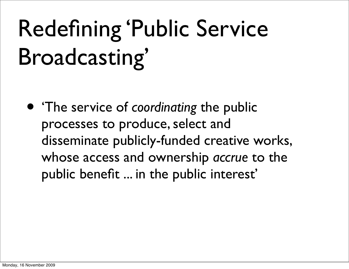#### Redefining 'Public Service Broadcasting'

• 'The service of *coordinating* the public processes to produce, select and disseminate publicly-funded creative works, whose access and ownership *accrue* to the public benefit ... in the public interest'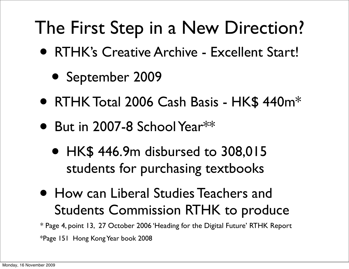#### The First Step in a New Direction?

- RTHK's Creative Archive Excellent Start!
	- September 2009
- RTHK Total 2006 Cash Basis HK\$ 440m<sup>\*</sup>
- But in 2007-8 School Year $^{\ast\ast}$ 
	- HK\$ 446.9m disbursed to 308,015 students for purchasing textbooks
- How can Liberal Studies Teachers and Students Commission RTHK to produce

\*Page 151 Hong Kong Year book 2008 \* Page 4, point 13, 27 October 2006 'Heading for the Digital Future' RTHK Report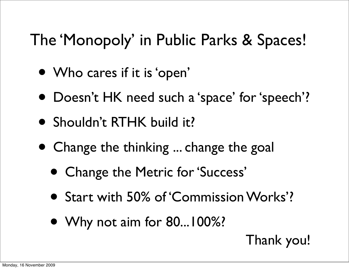#### The 'Monopoly' in Public Parks & Spaces!

- Who cares if it is 'open'
- Doesn't HK need such a 'space' for 'speech'?
- Shouldn't RTHK build it?
- Change the thinking ... change the goal
	- Change the Metric for 'Success'
	- Start with 50% of 'Commission Works'?
	- Why not aim for 80...100%?

Thank you!